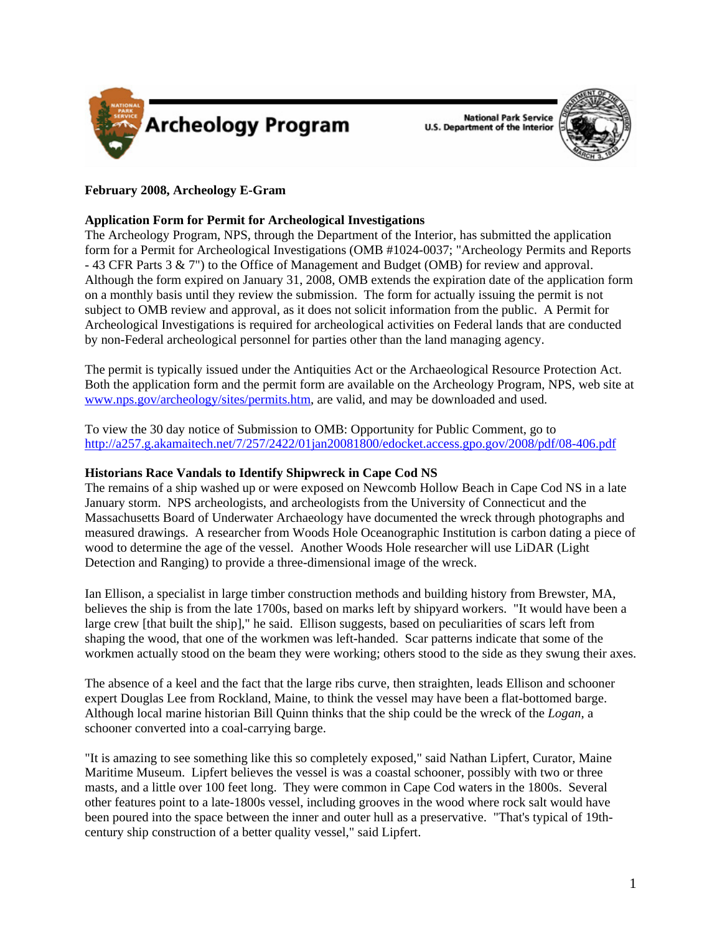

**National Park Service U.S. Department of the Interior** 



# **February 2008, Archeology E-Gram**

# **Application Form for Permit for Archeological Investigations**

The Archeology Program, NPS, through the Department of the Interior, has submitted the application form for a Permit for Archeological Investigations (OMB #1024-0037; "Archeology Permits and Reports - 43 CFR Parts 3 & 7") to the Office of Management and Budget (OMB) for review and approval. Although the form expired on January 31, 2008, OMB extends the expiration date of the application form on a monthly basis until they review the submission. The form for actually issuing the permit is not subject to OMB review and approval, as it does not solicit information from the public. A Permit for Archeological Investigations is required for archeological activities on Federal lands that are conducted by non-Federal archeological personnel for parties other than the land managing agency.

The permit is typically issued under the Antiquities Act or the Archaeological Resource Protection Act. Both the application form and the permit form are available on the Archeology Program, NPS, web site at [www.nps.gov/archeology/sites/permits.htm,](www.nps.gov/archeology/sites/permits.htm) are valid, and may be downloaded and used.

To view the 30 day notice of Submission to OMB: Opportunity for Public Comment, go to <http://a257.g.akamaitech.net/7/257/2422/01jan20081800/edocket.access.gpo.gov/2008/pdf/08-406.pdf>

### **Historians Race Vandals to Identify Shipwreck in Cape Cod NS**

The remains of a ship washed up or were exposed on Newcomb Hollow Beach in Cape Cod NS in a late January storm. NPS archeologists, and archeologists from the University of Connecticut and the Massachusetts Board of Underwater Archaeology have documented the wreck through photographs and measured drawings. A researcher from Woods Hole Oceanographic Institution is carbon dating a piece of wood to determine the age of the vessel. Another Woods Hole researcher will use LiDAR (Light Detection and Ranging) to provide a three-dimensional image of the wreck.

Ian Ellison, a specialist in large timber construction methods and building history from Brewster, MA, believes the ship is from the late 1700s, based on marks left by shipyard workers. "It would have been a large crew [that built the ship]," he said. Ellison suggests, based on peculiarities of scars left from shaping the wood, that one of the workmen was left-handed. Scar patterns indicate that some of the workmen actually stood on the beam they were working; others stood to the side as they swung their axes.

The absence of a keel and the fact that the large ribs curve, then straighten, leads Ellison and schooner expert Douglas Lee from Rockland, Maine, to think the vessel may have been a flat-bottomed barge. Although local marine historian Bill Quinn thinks that the ship could be the wreck of the *Logan*, a schooner converted into a coal-carrying barge.

"It is amazing to see something like this so completely exposed," said Nathan Lipfert, Curator, Maine Maritime Museum. Lipfert believes the vessel is was a coastal schooner, possibly with two or three masts, and a little over 100 feet long. They were common in Cape Cod waters in the 1800s. Several other features point to a late-1800s vessel, including grooves in the wood where rock salt would have been poured into the space between the inner and outer hull as a preservative. "That's typical of 19thcentury ship construction of a better quality vessel," said Lipfert.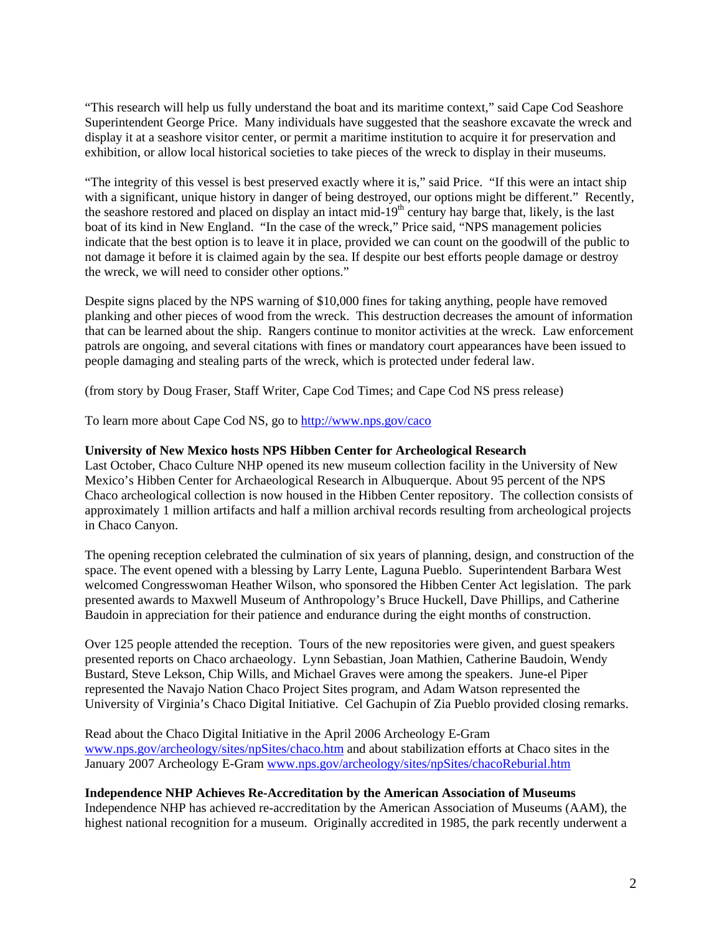"This research will help us fully understand the boat and its maritime context," said Cape Cod Seashore Superintendent George Price. Many individuals have suggested that the seashore excavate the wreck and display it at a seashore visitor center, or permit a maritime institution to acquire it for preservation and exhibition, or allow local historical societies to take pieces of the wreck to display in their museums.

"The integrity of this vessel is best preserved exactly where it is," said Price. "If this were an intact ship with a significant, unique history in danger of being destroyed, our options might be different." Recently, the seashore restored and placed on display an intact mid-19<sup>th</sup> century hay barge that, likely, is the last boat of its kind in New England. "In the case of the wreck," Price said, "NPS management policies indicate that the best option is to leave it in place, provided we can count on the goodwill of the public to not damage it before it is claimed again by the sea. If despite our best efforts people damage or destroy the wreck, we will need to consider other options."

Despite signs placed by the NPS warning of \$10,000 fines for taking anything, people have removed planking and other pieces of wood from the wreck. This destruction decreases the amount of information that can be learned about the ship. Rangers continue to monitor activities at the wreck. Law enforcement patrols are ongoing, and several citations with fines or mandatory court appearances have been issued to people damaging and stealing parts of the wreck, which is protected under federal law.

(from story by Doug Fraser, Staff Writer, Cape Cod Times; and Cape Cod NS press release)

To learn more about Cape Cod NS, go to<http://www.nps.gov/caco>

## **University of New Mexico hosts NPS Hibben Center for Archeological Research**

Last October, Chaco Culture NHP opened its new museum collection facility in the University of New Mexico's Hibben Center for Archaeological Research in Albuquerque. About 95 percent of the NPS Chaco archeological collection is now housed in the Hibben Center repository. The collection consists of approximately 1 million artifacts and half a million archival records resulting from archeological projects in Chaco Canyon.

The opening reception celebrated the culmination of six years of planning, design, and construction of the space. The event opened with a blessing by Larry Lente, Laguna Pueblo. Superintendent Barbara West welcomed Congresswoman Heather Wilson, who sponsored the Hibben Center Act legislation. The park presented awards to Maxwell Museum of Anthropology's Bruce Huckell, Dave Phillips, and Catherine Baudoin in appreciation for their patience and endurance during the eight months of construction.

Over 125 people attended the reception. Tours of the new repositories were given, and guest speakers presented reports on Chaco archaeology. Lynn Sebastian, Joan Mathien, Catherine Baudoin, Wendy Bustard, Steve Lekson, Chip Wills, and Michael Graves were among the speakers. June-el Piper represented the Navajo Nation Chaco Project Sites program, and Adam Watson represented the University of Virginia's Chaco Digital Initiative. Cel Gachupin of Zia Pueblo provided closing remarks.

Read about the Chaco Digital Initiative in the April 2006 Archeology E-Gram <www.nps.gov/archeology/sites/npSites/chaco.htm>and about stabilization efforts at Chaco sites in the January 2007 Archeology E-Gram <www.nps.gov/archeology/sites/npSites/chacoReburial.htm>

### **Independence NHP Achieves Re-Accreditation by the American Association of Museums**

Independence NHP has achieved re-accreditation by the American Association of Museums (AAM), the highest national recognition for a museum. Originally accredited in 1985, the park recently underwent a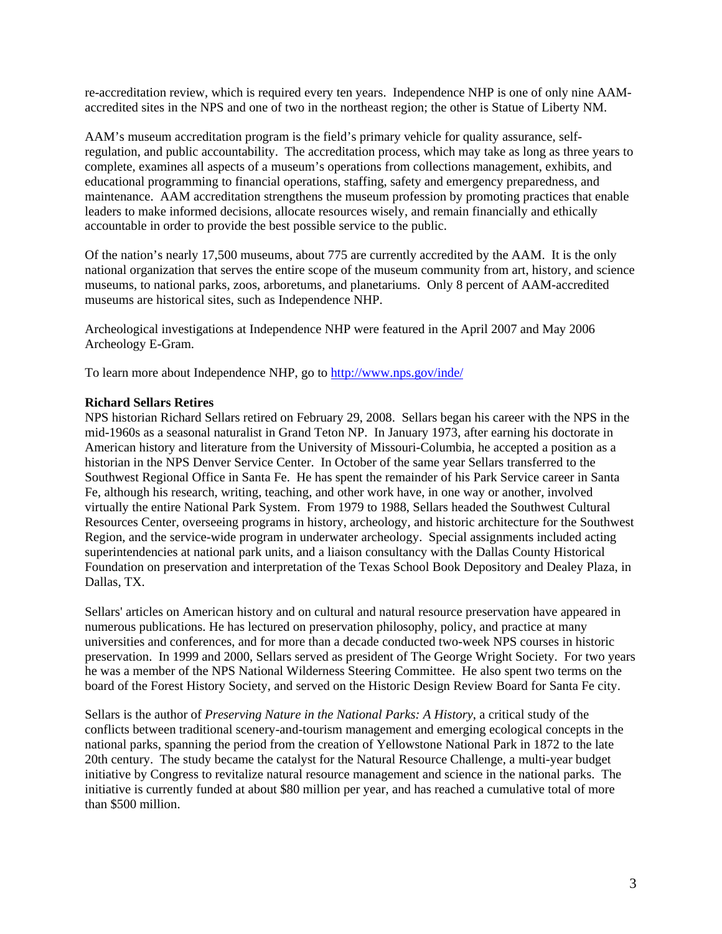re-accreditation review, which is required every ten years. Independence NHP is one of only nine AAMaccredited sites in the NPS and one of two in the northeast region; the other is Statue of Liberty NM.

AAM's museum accreditation program is the field's primary vehicle for quality assurance, selfregulation, and public accountability. The accreditation process, which may take as long as three years to complete, examines all aspects of a museum's operations from collections management, exhibits, and educational programming to financial operations, staffing, safety and emergency preparedness, and maintenance. AAM accreditation strengthens the museum profession by promoting practices that enable leaders to make informed decisions, allocate resources wisely, and remain financially and ethically accountable in order to provide the best possible service to the public.

Of the nation's nearly 17,500 museums, about 775 are currently accredited by the AAM. It is the only national organization that serves the entire scope of the museum community from art, history, and science museums, to national parks, zoos, arboretums, and planetariums. Only 8 percent of AAM-accredited museums are historical sites, such as Independence NHP.

Archeological investigations at Independence NHP were featured in the April 2007 and May 2006 Archeology E-Gram.

To learn more about Independence NHP, go to <http://www.nps.gov/inde/>

#### **Richard Sellars Retires**

NPS historian Richard Sellars retired on February 29, 2008. Sellars began his career with the NPS in the mid-1960s as a seasonal naturalist in Grand Teton NP. In January 1973, after earning his doctorate in American history and literature from the University of Missouri-Columbia, he accepted a position as a historian in the NPS Denver Service Center. In October of the same year Sellars transferred to the Southwest Regional Office in Santa Fe. He has spent the remainder of his Park Service career in Santa Fe, although his research, writing, teaching, and other work have, in one way or another, involved virtually the entire National Park System. From 1979 to 1988, Sellars headed the Southwest Cultural Resources Center, overseeing programs in history, archeology, and historic architecture for the Southwest Region, and the service-wide program in underwater archeology. Special assignments included acting superintendencies at national park units, and a liaison consultancy with the Dallas County Historical Foundation on preservation and interpretation of the Texas School Book Depository and Dealey Plaza, in Dallas, TX.

Sellars' articles on American history and on cultural and natural resource preservation have appeared in numerous publications. He has lectured on preservation philosophy, policy, and practice at many universities and conferences, and for more than a decade conducted two-week NPS courses in historic preservation. In 1999 and 2000, Sellars served as president of The George Wright Society. For two years he was a member of the NPS National Wilderness Steering Committee. He also spent two terms on the board of the Forest History Society, and served on the Historic Design Review Board for Santa Fe city.

Sellars is the author of *Preserving Nature in the National Parks: A History*, a critical study of the conflicts between traditional scenery-and-tourism management and emerging ecological concepts in the national parks, spanning the period from the creation of Yellowstone National Park in 1872 to the late 20th century. The study became the catalyst for the Natural Resource Challenge, a multi-year budget initiative by Congress to revitalize natural resource management and science in the national parks. The initiative is currently funded at about \$80 million per year, and has reached a cumulative total of more than \$500 million.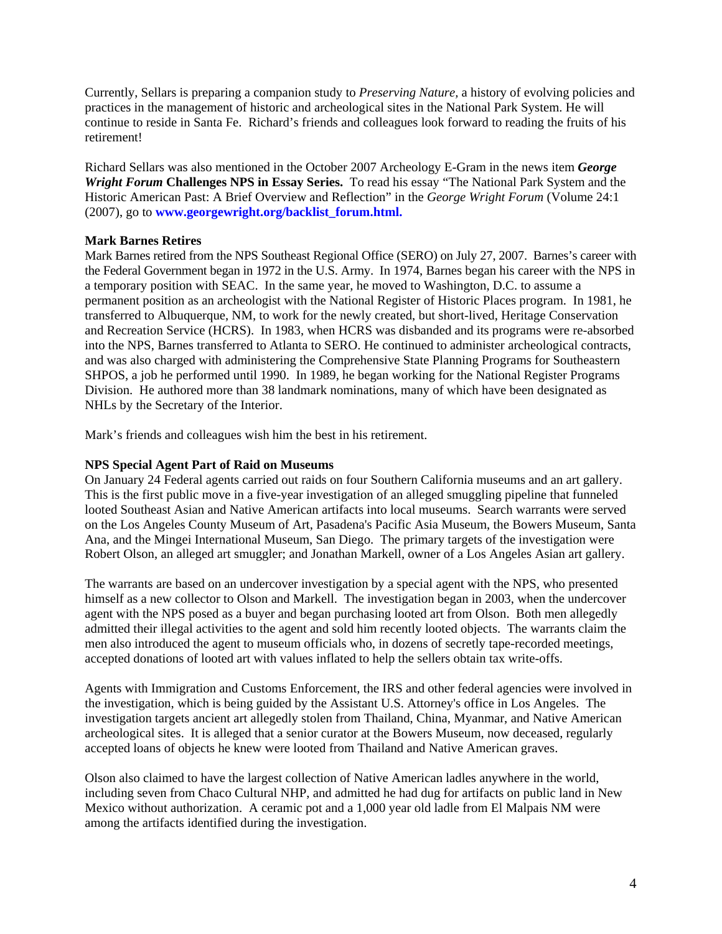Currently, Sellars is preparing a companion study to *Preserving Nature,* a history of evolving policies and practices in the management of historic and archeological sites in the National Park System. He will continue to reside in Santa Fe. Richard's friends and colleagues look forward to reading the fruits of his retirement!

Richard Sellars was also mentioned in the October 2007 Archeology E-Gram in the news item *George Wright Forum* **Challenges NPS in Essay Series.** To read his essay "The National Park System and the Historic American Past: A Brief Overview and Reflection" in the *George Wright Forum* (Volume 24:1 (2007), go to **[www.georgewright.org/backlist\\_forum.html.](www.georgewright.org/backlist_forum.html)**

### **Mark Barnes Retires**

Mark Barnes retired from the NPS Southeast Regional Office (SERO) on July 27, 2007. Barnes's career with the Federal Government began in 1972 in the U.S. Army. In 1974, Barnes began his career with the NPS in a temporary position with SEAC. In the same year, he moved to Washington, D.C. to assume a permanent position as an archeologist with the National Register of Historic Places program. In 1981, he transferred to Albuquerque, NM, to work for the newly created, but short-lived, Heritage Conservation and Recreation Service (HCRS). In 1983, when HCRS was disbanded and its programs were re-absorbed into the NPS, Barnes transferred to Atlanta to SERO. He continued to administer archeological contracts, and was also charged with administering the Comprehensive State Planning Programs for Southeastern SHPOS, a job he performed until 1990. In 1989, he began working for the National Register Programs Division. He authored more than 38 landmark nominations, many of which have been designated as NHLs by the Secretary of the Interior.

Mark's friends and colleagues wish him the best in his retirement.

#### **NPS Special Agent Part of Raid on Museums**

On January 24 Federal agents carried out raids on four Southern California museums and an art gallery. This is the first public move in a five-year investigation of an alleged smuggling pipeline that funneled looted Southeast Asian and Native American artifacts into local museums. Search warrants were served on the Los Angeles County Museum of Art, Pasadena's Pacific Asia Museum, the Bowers Museum, Santa Ana, and the Mingei International Museum, San Diego. The primary targets of the investigation were Robert Olson, an alleged art smuggler; and Jonathan Markell, owner of a Los Angeles Asian art gallery.

The warrants are based on an undercover investigation by a special agent with the NPS, who presented himself as a new collector to Olson and Markell. The investigation began in 2003, when the undercover agent with the NPS posed as a buyer and began purchasing looted art from Olson. Both men allegedly admitted their illegal activities to the agent and sold him recently looted objects. The warrants claim the men also introduced the agent to museum officials who, in dozens of secretly tape-recorded meetings, accepted donations of looted art with values inflated to help the sellers obtain tax write-offs.

Agents with Immigration and Customs Enforcement, the IRS and other federal agencies were involved in the investigation, which is being guided by the Assistant U.S. Attorney's office in Los Angeles. The investigation targets ancient art allegedly stolen from Thailand, China, Myanmar, and Native American archeological sites. It is alleged that a senior curator at the Bowers Museum, now deceased, regularly accepted loans of objects he knew were looted from Thailand and Native American graves.

Olson also claimed to have the largest collection of Native American ladles anywhere in the world, including seven from Chaco Cultural NHP, and admitted he had dug for artifacts on public land in New Mexico without authorization. A ceramic pot and a 1,000 year old ladle from El Malpais NM were among the artifacts identified during the investigation.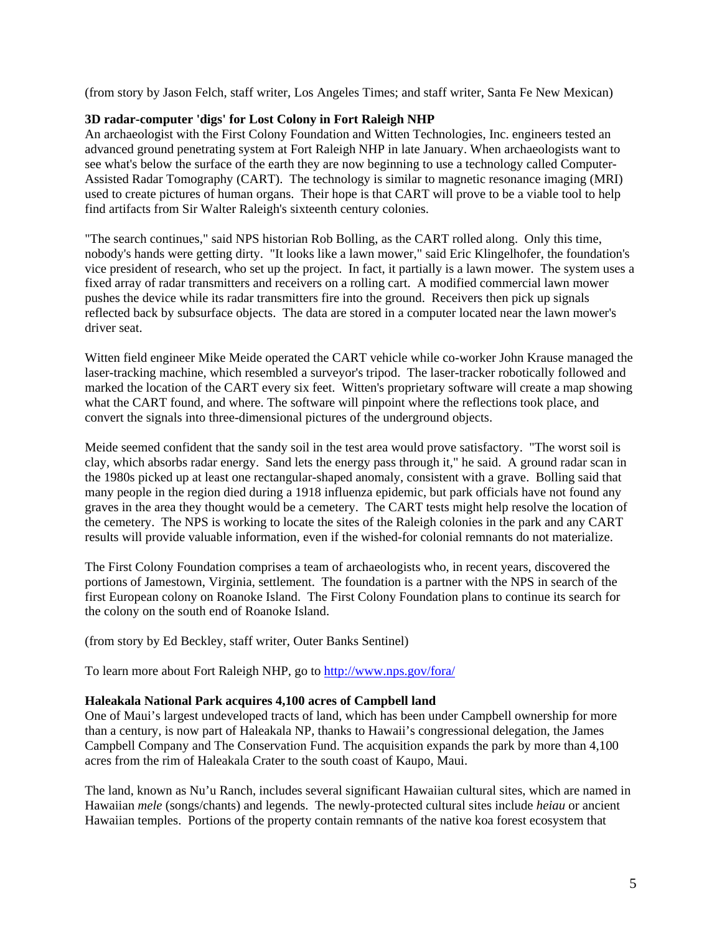(from story by Jason Felch, staff writer, Los Angeles Times; and staff writer, Santa Fe New Mexican)

## **3D radar-computer 'digs' for Lost Colony in Fort Raleigh NHP**

An archaeologist with the First Colony Foundation and Witten Technologies, Inc. engineers tested an advanced ground penetrating system at Fort Raleigh NHP in late January. When archaeologists want to see what's below the surface of the earth they are now beginning to use a technology called Computer-Assisted Radar Tomography (CART). The technology is similar to magnetic resonance imaging (MRI) used to create pictures of human organs. Their hope is that CART will prove to be a viable tool to help find artifacts from Sir Walter Raleigh's sixteenth century colonies.

"The search continues," said NPS historian Rob Bolling, as the CART rolled along. Only this time, nobody's hands were getting dirty. "It looks like a lawn mower," said Eric Klingelhofer, the foundation's vice president of research, who set up the project. In fact, it partially is a lawn mower. The system uses a fixed array of radar transmitters and receivers on a rolling cart. A modified commercial lawn mower pushes the device while its radar transmitters fire into the ground. Receivers then pick up signals reflected back by subsurface objects. The data are stored in a computer located near the lawn mower's driver seat.

Witten field engineer Mike Meide operated the CART vehicle while co-worker John Krause managed the laser-tracking machine, which resembled a surveyor's tripod. The laser-tracker robotically followed and marked the location of the CART every six feet. Witten's proprietary software will create a map showing what the CART found, and where. The software will pinpoint where the reflections took place, and convert the signals into three-dimensional pictures of the underground objects.

Meide seemed confident that the sandy soil in the test area would prove satisfactory. "The worst soil is clay, which absorbs radar energy. Sand lets the energy pass through it," he said. A ground radar scan in the 1980s picked up at least one rectangular-shaped anomaly, consistent with a grave. Bolling said that many people in the region died during a 1918 influenza epidemic, but park officials have not found any graves in the area they thought would be a cemetery. The CART tests might help resolve the location of the cemetery. The NPS is working to locate the sites of the Raleigh colonies in the park and any CART results will provide valuable information, even if the wished-for colonial remnants do not materialize.

The First Colony Foundation comprises a team of archaeologists who, in recent years, discovered the portions of Jamestown, Virginia, settlement. The foundation is a partner with the NPS in search of the first European colony on Roanoke Island. The First Colony Foundation plans to continue its search for the colony on the south end of Roanoke Island.

(from story by Ed Beckley, staff writer, Outer Banks Sentinel)

To learn more about Fort Raleigh NHP, go to <http://www.nps.gov/fora/>

### **Haleakala National Park acquires 4,100 acres of Campbell land**

One of Maui's largest undeveloped tracts of land, which has been under Campbell ownership for more than a century, is now part of Haleakala NP, thanks to Hawaii's congressional delegation, the James Campbell Company and The Conservation Fund. The acquisition expands the park by more than 4,100 acres from the rim of Haleakala Crater to the south coast of Kaupo, Maui.

The land, known as Nu'u Ranch, includes several significant Hawaiian cultural sites, which are named in Hawaiian *mele* (songs/chants) and legends. The newly-protected cultural sites include *heiau* or ancient Hawaiian temples. Portions of the property contain remnants of the native koa forest ecosystem that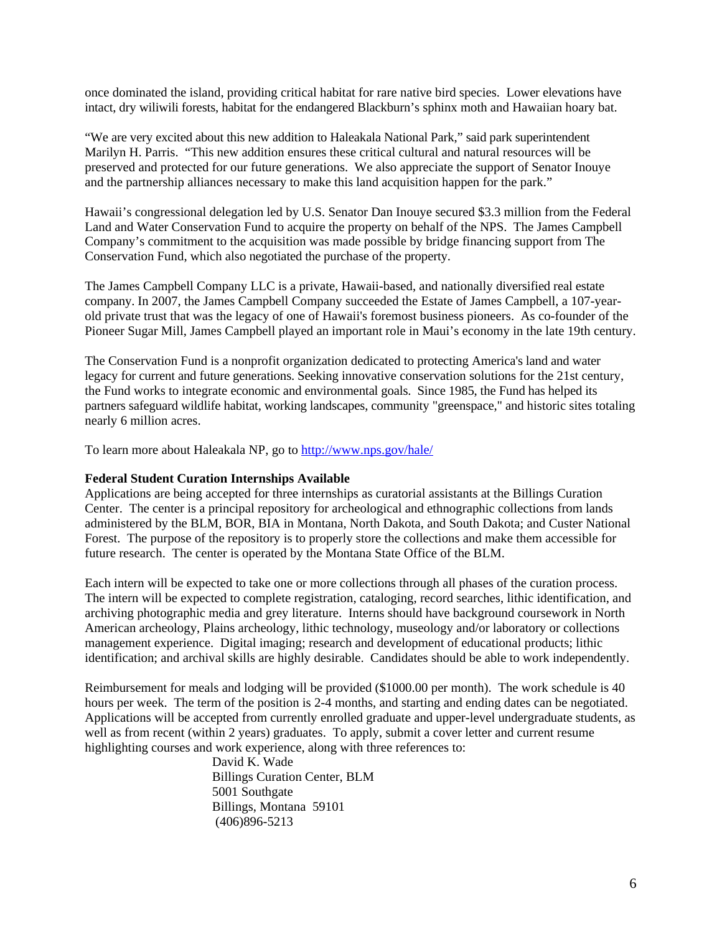once dominated the island, providing critical habitat for rare native bird species. Lower elevations have intact, dry wiliwili forests, habitat for the endangered Blackburn's sphinx moth and Hawaiian hoary bat.

"We are very excited about this new addition to Haleakala National Park," said park superintendent Marilyn H. Parris. "This new addition ensures these critical cultural and natural resources will be preserved and protected for our future generations. We also appreciate the support of Senator Inouye and the partnership alliances necessary to make this land acquisition happen for the park."

Hawaii's congressional delegation led by U.S. Senator Dan Inouye secured \$3.3 million from the Federal Land and Water Conservation Fund to acquire the property on behalf of the NPS. The James Campbell Company's commitment to the acquisition was made possible by bridge financing support from The Conservation Fund, which also negotiated the purchase of the property.

The James Campbell Company LLC is a private, Hawaii-based, and nationally diversified real estate company. In 2007, the James Campbell Company succeeded the Estate of James Campbell, a 107-yearold private trust that was the legacy of one of Hawaii's foremost business pioneers. As co-founder of the Pioneer Sugar Mill, James Campbell played an important role in Maui's economy in the late 19th century.

The Conservation Fund is a nonprofit organization dedicated to protecting America's land and water legacy for current and future generations. Seeking innovative conservation solutions for the 21st century, the Fund works to integrate economic and environmental goals. Since 1985, the Fund has helped its partners safeguard wildlife habitat, working landscapes, community "greenspace," and historic sites totaling nearly 6 million acres.

To learn more about Haleakala NP, go to <http://www.nps.gov/hale/>

#### **Federal Student Curation Internships Available**

Applications are being accepted for three internships as curatorial assistants at the Billings Curation Center. The center is a principal repository for archeological and ethnographic collections from lands administered by the BLM, BOR, BIA in Montana, North Dakota, and South Dakota; and Custer National Forest. The purpose of the repository is to properly store the collections and make them accessible for future research. The center is operated by the Montana State Office of the BLM.

Each intern will be expected to take one or more collections through all phases of the curation process. The intern will be expected to complete registration, cataloging, record searches, lithic identification, and archiving photographic media and grey literature. Interns should have background coursework in North American archeology, Plains archeology, lithic technology, museology and/or laboratory or collections management experience. Digital imaging; research and development of educational products; lithic identification; and archival skills are highly desirable. Candidates should be able to work independently.

Reimbursement for meals and lodging will be provided (\$1000.00 per month). The work schedule is 40 hours per week. The term of the position is 2-4 months, and starting and ending dates can be negotiated. Applications will be accepted from currently enrolled graduate and upper-level undergraduate students, as well as from recent (within 2 years) graduates. To apply, submit a cover letter and current resume highlighting courses and work experience, along with three references to:

> David K. Wade Billings Curation Center, BLM 5001 Southgate Billings, Montana 59101 (406)896-5213